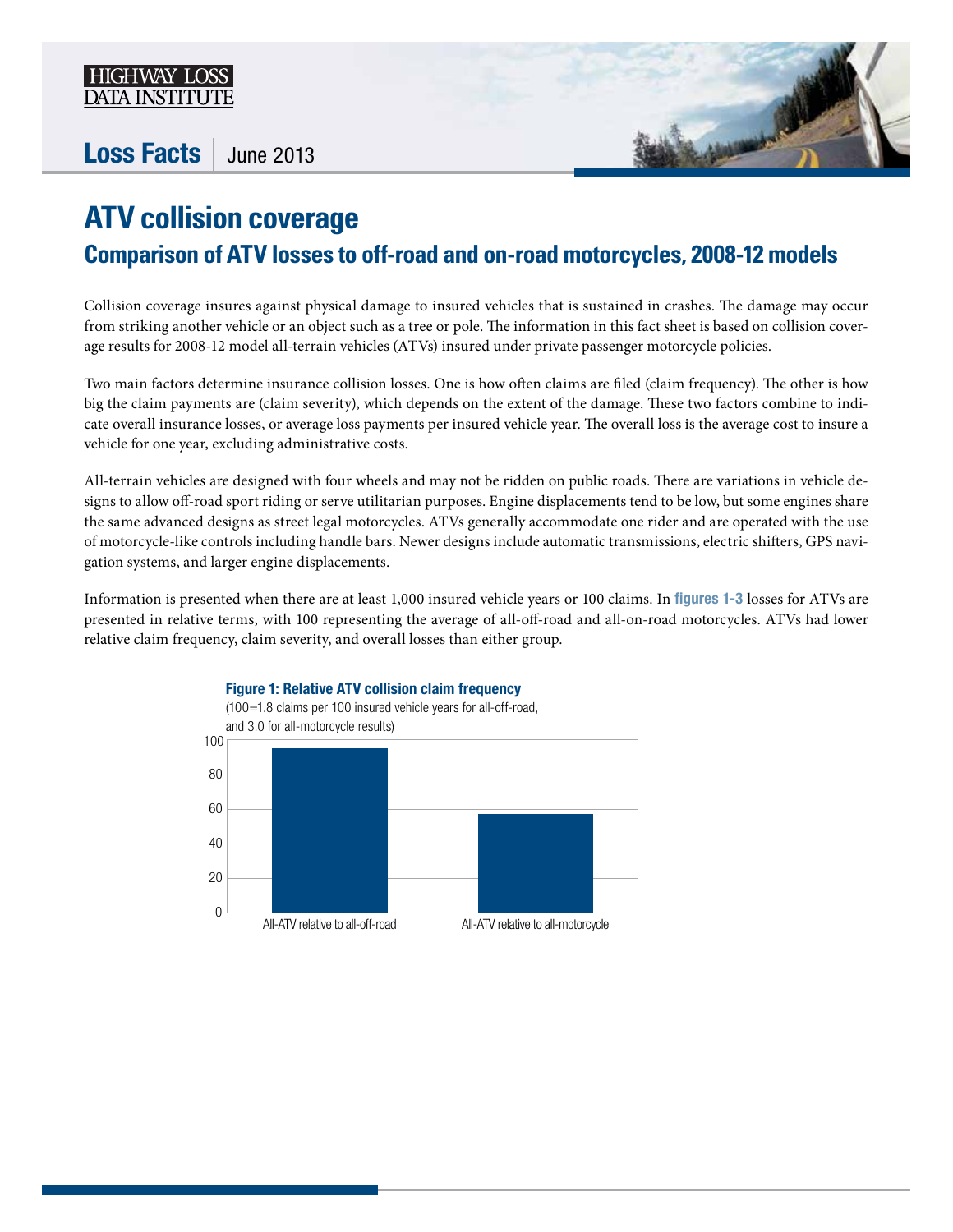

## Loss Facts | June 2013



## **ATV collision coverage Comparison of ATV losses to off-road and on-road motorcycles, 2008-12 models**

Collision coverage insures against physical damage to insured vehicles that is sustained in crashes. The damage may occur from striking another vehicle or an object such as a tree or pole. The information in this fact sheet is based on collision coverage results for 2008-12 model all-terrain vehicles (ATVs) insured under private passenger motorcycle policies.

Two main factors determine insurance collision losses. One is how often claims are filed (claim frequency). The other is how big the claim payments are (claim severity), which depends on the extent of the damage. These two factors combine to indicate overall insurance losses, or average loss payments per insured vehicle year. The overall loss is the average cost to insure a vehicle for one year, excluding administrative costs.

All-terrain vehicles are designed with four wheels and may not be ridden on public roads. There are variations in vehicle designs to allow off-road sport riding or serve utilitarian purposes. Engine displacements tend to be low, but some engines share the same advanced designs as street legal motorcycles. ATVs generally accommodate one rider and are operated with the use of motorcycle-like controls including handle bars. Newer designs include automatic transmissions, electric shifters, GPS navigation systems, and larger engine displacements.

Information is presented when there are at least 1,000 insured vehicle years or 100 claims. In figures 1-3 losses for ATVs are presented in relative terms, with 100 representing the average of all-off-road and all-on-road motorcycles. ATVs had lower relative claim frequency, claim severity, and overall losses than either group.

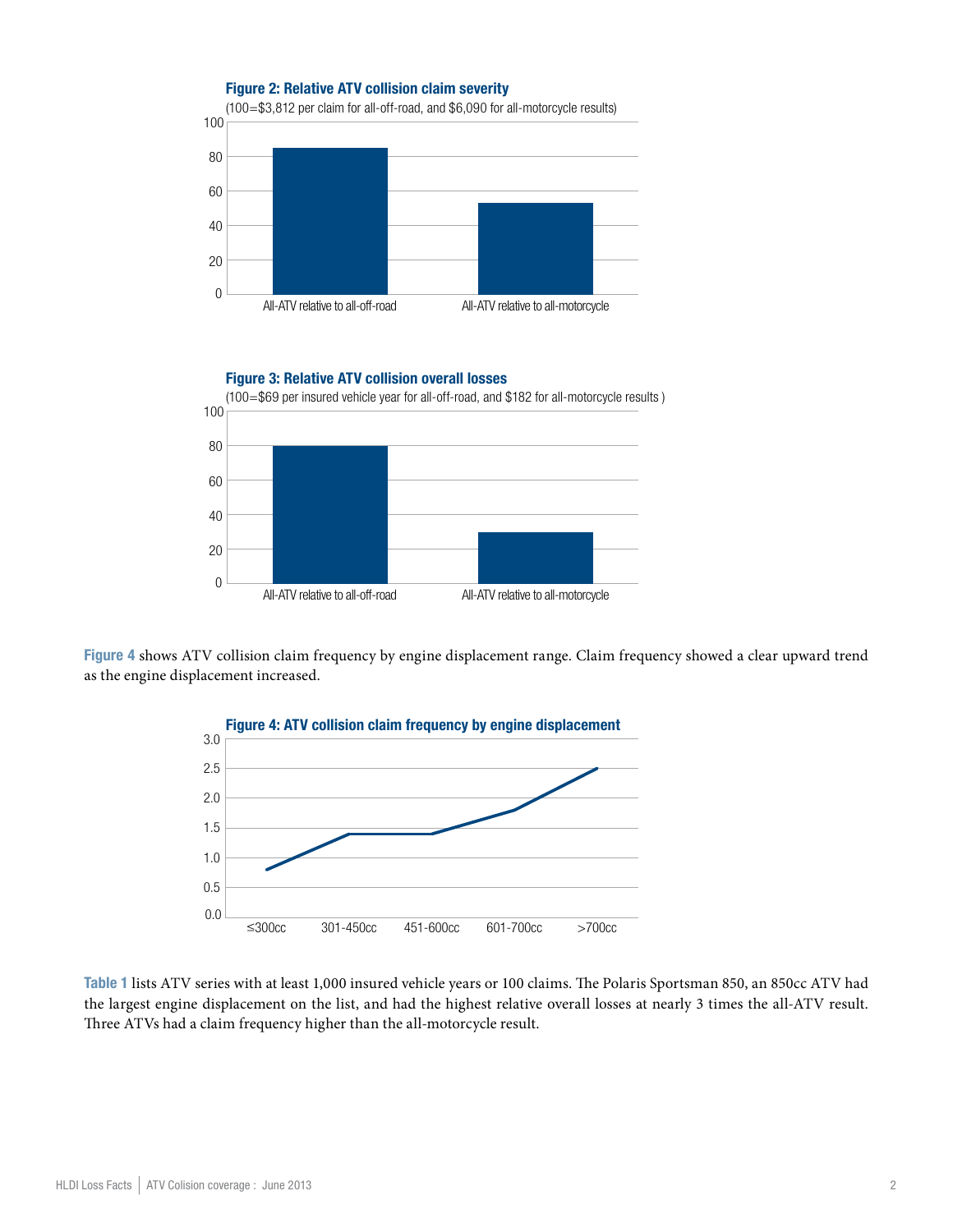

Figure 3: Relative ATV collision overall losses



Figure 4 shows ATV collision claim frequency by engine displacement range. Claim frequency showed a clear upward trend as the engine displacement increased.



Table 1 lists ATV series with at least 1,000 insured vehicle years or 100 claims. The Polaris Sportsman 850, an 850cc ATV had the largest engine displacement on the list, and had the highest relative overall losses at nearly 3 times the all-ATV result. Three ATVs had a claim frequency higher than the all-motorcycle result.